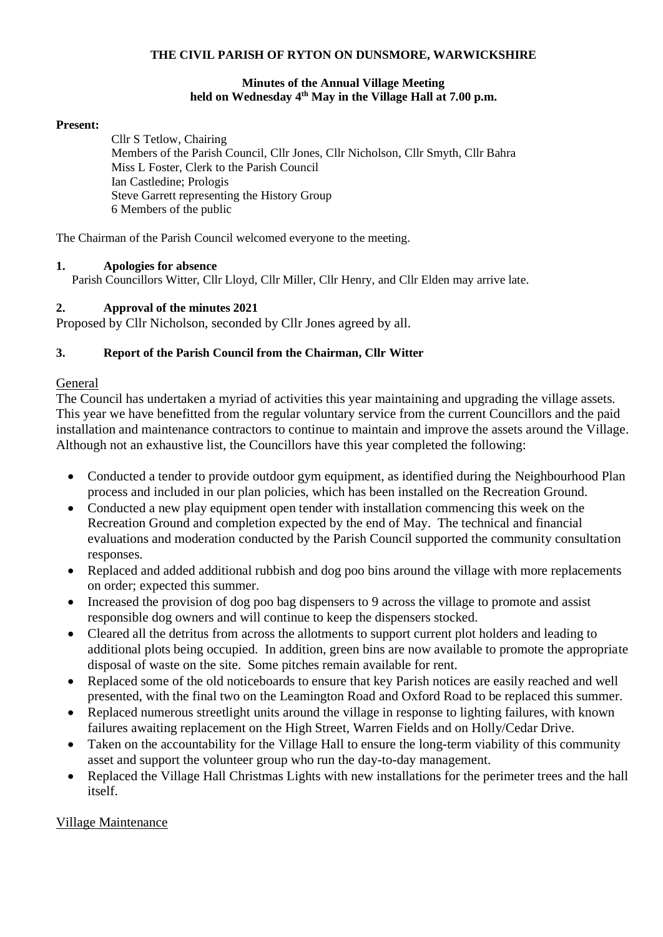#### **THE CIVIL PARISH OF RYTON ON DUNSMORE, WARWICKSHIRE**

#### **Minutes of the Annual Village Meeting held on Wednesday 4th May in the Village Hall at 7.00 p.m.**

#### **Present:**

Cllr S Tetlow, Chairing Members of the Parish Council, Cllr Jones, Cllr Nicholson, Cllr Smyth, Cllr Bahra Miss L Foster, Clerk to the Parish Council Ian Castledine; Prologis Steve Garrett representing the History Group 6 Members of the public

The Chairman of the Parish Council welcomed everyone to the meeting.

### **1. Apologies for absence**

Parish Councillors Witter, Cllr Lloyd, Cllr Miller, Cllr Henry, and Cllr Elden may arrive late.

#### **2. Approval of the minutes 2021**

Proposed by Cllr Nicholson, seconded by Cllr Jones agreed by all.

#### **3. Report of the Parish Council from the Chairman, Cllr Witter**

#### General

The Council has undertaken a myriad of activities this year maintaining and upgrading the village assets. This year we have benefitted from the regular voluntary service from the current Councillors and the paid installation and maintenance contractors to continue to maintain and improve the assets around the Village. Although not an exhaustive list, the Councillors have this year completed the following:

- Conducted a tender to provide outdoor gym equipment, as identified during the Neighbourhood Plan process and included in our plan policies, which has been installed on the Recreation Ground.
- Conducted a new play equipment open tender with installation commencing this week on the Recreation Ground and completion expected by the end of May. The technical and financial evaluations and moderation conducted by the Parish Council supported the community consultation responses.
- Replaced and added additional rubbish and dog poo bins around the village with more replacements on order; expected this summer.
- Increased the provision of dog poo bag dispensers to 9 across the village to promote and assist responsible dog owners and will continue to keep the dispensers stocked.
- Cleared all the detritus from across the allotments to support current plot holders and leading to additional plots being occupied. In addition, green bins are now available to promote the appropriate disposal of waste on the site. Some pitches remain available for rent.
- Replaced some of the old noticeboards to ensure that key Parish notices are easily reached and well presented, with the final two on the Leamington Road and Oxford Road to be replaced this summer.
- Replaced numerous streetlight units around the village in response to lighting failures, with known failures awaiting replacement on the High Street, Warren Fields and on Holly/Cedar Drive.
- Taken on the accountability for the Village Hall to ensure the long-term viability of this community asset and support the volunteer group who run the day-to-day management.
- Replaced the Village Hall Christmas Lights with new installations for the perimeter trees and the hall itself.

#### Village Maintenance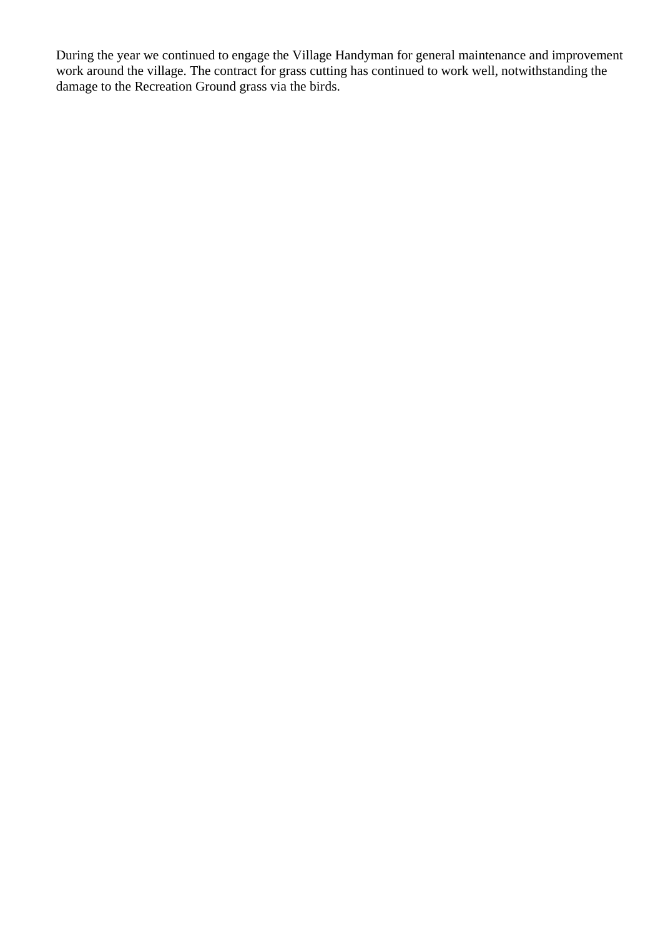During the year we continued to engage the Village Handyman for general maintenance and improvement work around the village. The contract for grass cutting has continued to work well, notwithstanding the damage to the Recreation Ground grass via the birds.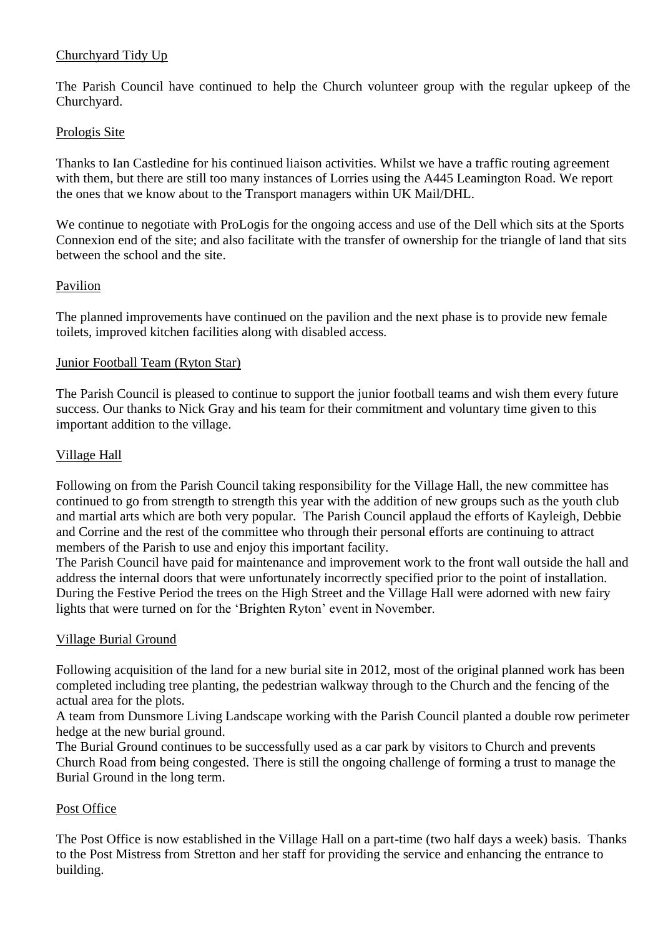# Churchyard Tidy Up

The Parish Council have continued to help the Church volunteer group with the regular upkeep of the Churchyard.

### Prologis Site

Thanks to Ian Castledine for his continued liaison activities. Whilst we have a traffic routing agreement with them, but there are still too many instances of Lorries using the A445 Leamington Road. We report the ones that we know about to the Transport managers within UK Mail/DHL.

We continue to negotiate with ProLogis for the ongoing access and use of the Dell which sits at the Sports Connexion end of the site; and also facilitate with the transfer of ownership for the triangle of land that sits between the school and the site.

### Pavilion

The planned improvements have continued on the pavilion and the next phase is to provide new female toilets, improved kitchen facilities along with disabled access.

### Junior Football Team (Ryton Star)

The Parish Council is pleased to continue to support the junior football teams and wish them every future success. Our thanks to Nick Gray and his team for their commitment and voluntary time given to this important addition to the village.

## Village Hall

Following on from the Parish Council taking responsibility for the Village Hall, the new committee has continued to go from strength to strength this year with the addition of new groups such as the youth club and martial arts which are both very popular. The Parish Council applaud the efforts of Kayleigh, Debbie and Corrine and the rest of the committee who through their personal efforts are continuing to attract members of the Parish to use and enjoy this important facility.

The Parish Council have paid for maintenance and improvement work to the front wall outside the hall and address the internal doors that were unfortunately incorrectly specified prior to the point of installation. During the Festive Period the trees on the High Street and the Village Hall were adorned with new fairy lights that were turned on for the 'Brighten Ryton' event in November.

## Village Burial Ground

Following acquisition of the land for a new burial site in 2012, most of the original planned work has been completed including tree planting, the pedestrian walkway through to the Church and the fencing of the actual area for the plots.

A team from Dunsmore Living Landscape working with the Parish Council planted a double row perimeter hedge at the new burial ground.

The Burial Ground continues to be successfully used as a car park by visitors to Church and prevents Church Road from being congested. There is still the ongoing challenge of forming a trust to manage the Burial Ground in the long term.

## Post Office

The Post Office is now established in the Village Hall on a part-time (two half days a week) basis. Thanks to the Post Mistress from Stretton and her staff for providing the service and enhancing the entrance to building.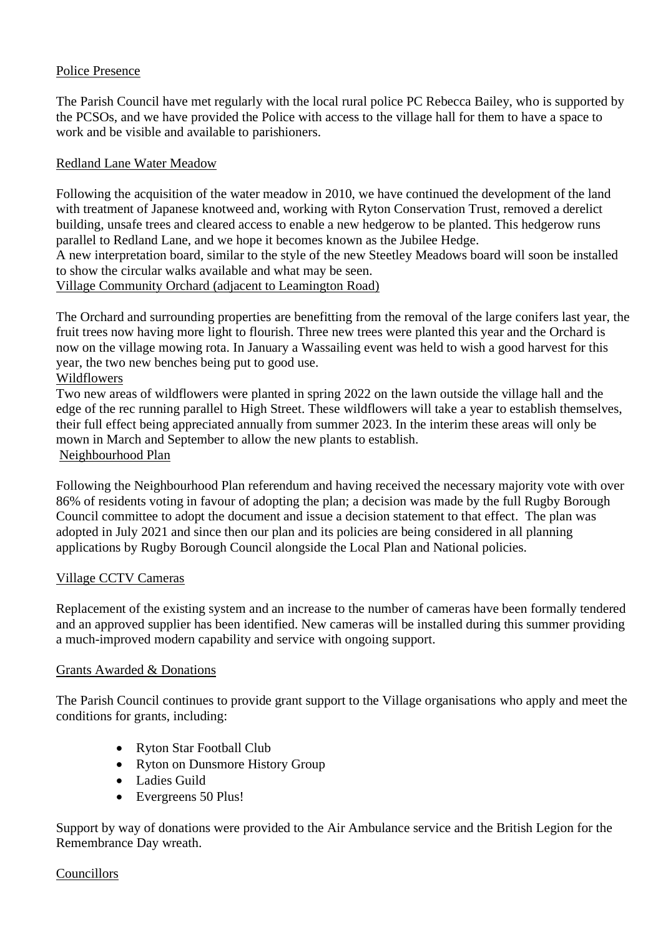# Police Presence

The Parish Council have met regularly with the local rural police PC Rebecca Bailey, who is supported by the PCSOs, and we have provided the Police with access to the village hall for them to have a space to work and be visible and available to parishioners.

### Redland Lane Water Meadow

Following the acquisition of the water meadow in 2010, we have continued the development of the land with treatment of Japanese knotweed and, working with Ryton Conservation Trust, removed a derelict building, unsafe trees and cleared access to enable a new hedgerow to be planted. This hedgerow runs parallel to Redland Lane, and we hope it becomes known as the Jubilee Hedge.

A new interpretation board, similar to the style of the new Steetley Meadows board will soon be installed to show the circular walks available and what may be seen.

Village Community Orchard (adjacent to Leamington Road)

The Orchard and surrounding properties are benefitting from the removal of the large conifers last year, the fruit trees now having more light to flourish. Three new trees were planted this year and the Orchard is now on the village mowing rota. In January a Wassailing event was held to wish a good harvest for this year, the two new benches being put to good use.

Wildflowers

Two new areas of wildflowers were planted in spring 2022 on the lawn outside the village hall and the edge of the rec running parallel to High Street. These wildflowers will take a year to establish themselves, their full effect being appreciated annually from summer 2023. In the interim these areas will only be mown in March and September to allow the new plants to establish. Neighbourhood Plan

Following the Neighbourhood Plan referendum and having received the necessary majority vote with over 86% of residents voting in favour of adopting the plan; a decision was made by the full Rugby Borough Council committee to adopt the document and issue a decision statement to that effect. The plan was adopted in July 2021 and since then our plan and its policies are being considered in all planning applications by Rugby Borough Council alongside the Local Plan and National policies.

## Village CCTV Cameras

Replacement of the existing system and an increase to the number of cameras have been formally tendered and an approved supplier has been identified. New cameras will be installed during this summer providing a much-improved modern capability and service with ongoing support.

## Grants Awarded & Donations

The Parish Council continues to provide grant support to the Village organisations who apply and meet the conditions for grants, including:

- Ryton Star Football Club
- Ryton on Dunsmore History Group
- Ladies Guild
- Evergreens 50 Plus!

Support by way of donations were provided to the Air Ambulance service and the British Legion for the Remembrance Day wreath.

## Councillors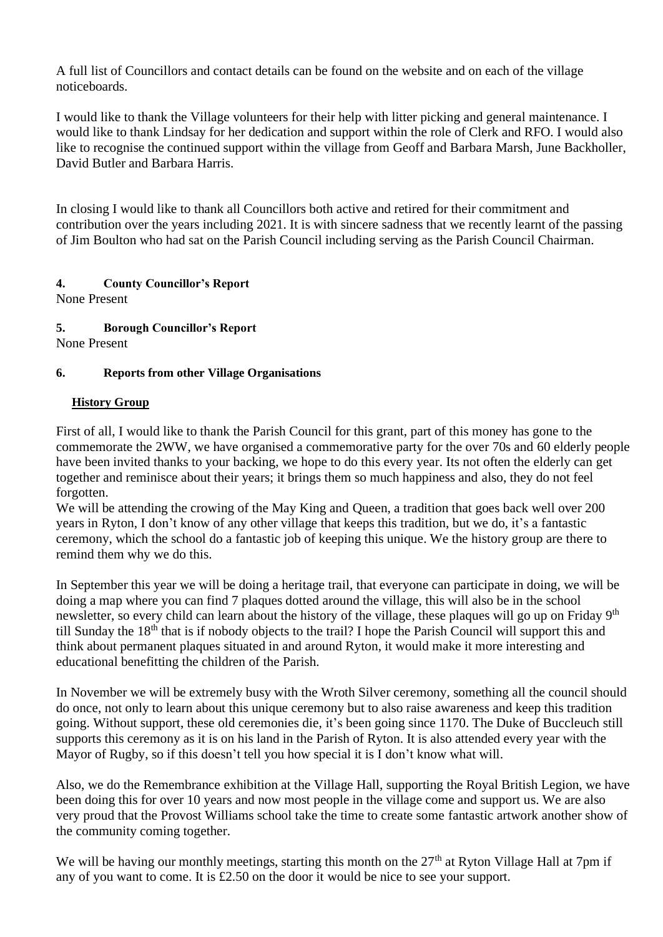A full list of Councillors and contact details can be found on the website and on each of the village noticeboards.

I would like to thank the Village volunteers for their help with litter picking and general maintenance. I would like to thank Lindsay for her dedication and support within the role of Clerk and RFO. I would also like to recognise the continued support within the village from Geoff and Barbara Marsh, June Backholler, David Butler and Barbara Harris.

In closing I would like to thank all Councillors both active and retired for their commitment and contribution over the years including 2021. It is with sincere sadness that we recently learnt of the passing of Jim Boulton who had sat on the Parish Council including serving as the Parish Council Chairman.

**4. County Councillor's Report**

None Present

**5. Borough Councillor's Report** None Present

# **6. Reports from other Village Organisations**

## **History Group**

First of all, I would like to thank the Parish Council for this grant, part of this money has gone to the commemorate the 2WW, we have organised a commemorative party for the over 70s and 60 elderly people have been invited thanks to your backing, we hope to do this every year. Its not often the elderly can get together and reminisce about their years; it brings them so much happiness and also, they do not feel forgotten.

We will be attending the crowing of the May King and Queen, a tradition that goes back well over 200 years in Ryton, I don't know of any other village that keeps this tradition, but we do, it's a fantastic ceremony, which the school do a fantastic job of keeping this unique. We the history group are there to remind them why we do this.

In September this year we will be doing a heritage trail, that everyone can participate in doing, we will be doing a map where you can find 7 plaques dotted around the village, this will also be in the school newsletter, so every child can learn about the history of the village, these plaques will go up on Friday 9<sup>th</sup> till Sunday the 18<sup>th</sup> that is if nobody objects to the trail? I hope the Parish Council will support this and think about permanent plaques situated in and around Ryton, it would make it more interesting and educational benefitting the children of the Parish.

In November we will be extremely busy with the Wroth Silver ceremony, something all the council should do once, not only to learn about this unique ceremony but to also raise awareness and keep this tradition going. Without support, these old ceremonies die, it's been going since 1170. The Duke of Buccleuch still supports this ceremony as it is on his land in the Parish of Ryton. It is also attended every year with the Mayor of Rugby, so if this doesn't tell you how special it is I don't know what will.

Also, we do the Remembrance exhibition at the Village Hall, supporting the Royal British Legion, we have been doing this for over 10 years and now most people in the village come and support us. We are also very proud that the Provost Williams school take the time to create some fantastic artwork another show of the community coming together.

We will be having our monthly meetings, starting this month on the  $27<sup>th</sup>$  at Ryton Village Hall at 7pm if any of you want to come. It is £2.50 on the door it would be nice to see your support.